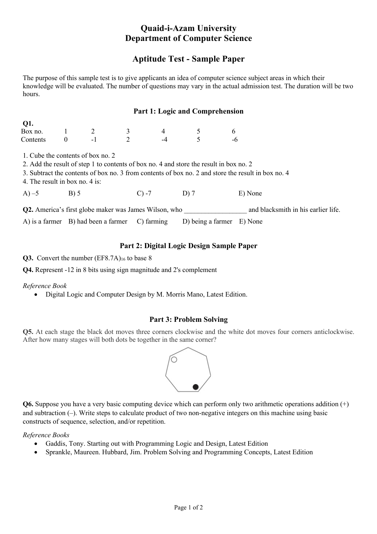# **Quaid-i-Azam University Department of Computer Science**

# **Aptitude Test - Sample Paper**

The purpose of this sample test is to give applicants an idea of computer science subject areas in which their knowledge will be evaluated. The number of questions may vary in the actual admission test. The duration will be two hours.

## **Part 1: Logic and Comprehension**

| VI.      |                          |  |   |
|----------|--------------------------|--|---|
| Box no.  |                          |  |   |
| Contents | $\overline{\phantom{0}}$ |  | - |

1. Cube the contents of box no. 2

**Q**1.

2. Add the result of step 1 to contents of box no. 4 and store the result in box no. 2

3. Subtract the contents of box no. 3 from contents of box no. 2 and store the result in box no. 4

4. The result in box no. 4 is:

A) –5 B) 5 C) –7 D) 7 E) None

**Q2.** America's first globe maker was James Wilson, who \_\_\_\_\_\_\_\_\_\_\_\_\_\_\_\_\_\_ and blacksmith in his earlier life.

A) is a farmer B) had been a farmer C) farming D) being a farmer E) None

# **Part 2: Digital Logic Design Sample Paper**

#### Q3. Convert the number (EF8.7A)<sub>16</sub> to base 8

**Q4.** Represent -12 in 8 bits using sign magnitude and 2's complement

## *Reference Book*

• Digital Logic and Computer Design by M. Morris Mano, Latest Edition.

## **Part 3: Problem Solving**

**Q5.** At each stage the black dot moves three corners clockwise and the white dot moves four corners anticlockwise. After how many stages will both dots be together in the same corner?



**Q6.** Suppose you have a very basic computing device which can perform only two arithmetic operations addition (+) and subtraction (–). Write steps to calculate product of two non-negative integers on this machine using basic constructs of sequence, selection, and/or repetition.

*Reference Books*

- Gaddis, Tony. Starting out with Programming Logic and Design, Latest Edition
- Sprankle, Maureen. Hubbard, Jim. Problem Solving and Programming Concepts, Latest Edition